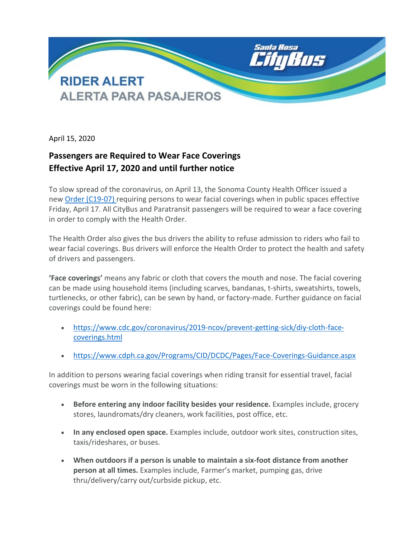

April 15, 2020

## **Passengers are Required to Wear Face Coverings Effective April 17, 2020 and until further notice**

To slow spread of the coronavirus, on April 13, the Sonoma County Health Officer issued a new [Order \(C19-07\)](https://socoemergency.org/order-of-the-health-officer-facial-coverings/) requiring persons to wear facial coverings when in public spaces effective Friday, April 17. All CityBus and Paratransit passengers will be required to wear a face covering in order to comply with the Health Order.

The Health Order also gives the bus drivers the ability to refuse admission to riders who fail to wear facial coverings. Bus drivers will enforce the Health Order to protect the health and safety of drivers and passengers.

**'Face coverings'** means any fabric or cloth that covers the mouth and nose. The facial covering can be made using household items (including scarves, bandanas, t-shirts, sweatshirts, towels, turtlenecks, or other fabric), can be sewn by hand, or factory-made. Further guidance on facial coverings could be found here:

- [https://www.cdc.gov/coronavirus/2019-ncov/prevent-getting-sick/diy-cloth-face](https://www.cdc.gov/coronavirus/2019-ncov/prevent-getting-sick/diy-cloth-face-coverings.html)[coverings.html](https://www.cdc.gov/coronavirus/2019-ncov/prevent-getting-sick/diy-cloth-face-coverings.html)
- <https://www.cdph.ca.gov/Programs/CID/DCDC/Pages/Face-Coverings-Guidance.aspx>

In addition to persons wearing facial coverings when riding transit for essential travel, facial coverings must be worn in the following situations:

- **Before entering any indoor facility besides your residence.** Examples include, grocery stores, laundromats/dry cleaners, work facilities, post office, etc.
- **In any enclosed open space.** Examples include, outdoor work sites, construction sites, taxis/rideshares, or buses.
- **When outdoors if a person is unable to maintain a six-foot distance from another person at all times.** Examples include, Farmer's market, pumping gas, drive thru/delivery/carry out/curbside pickup, etc.